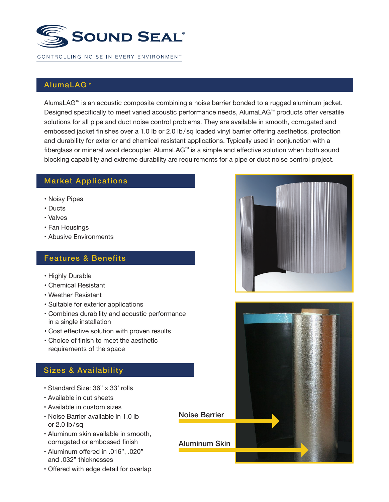

## AlumaLAG<sup>™</sup>

AlumaLAG<sup>™</sup> is an acoustic composite combining a noise barrier bonded to a rugged aluminum jacket. Designed specifically to meet varied acoustic performance needs, AlumaLAG™ products offer versatile solutions for all pipe and duct noise control problems. They are available in smooth, corrugated and embossed jacket finishes over a 1.0 lb or 2.0 lb/sq loaded vinyl barrier offering aesthetics, protection and durability for exterior and chemical resistant applications. Typically used in conjunction with a fiberglass or mineral wool decoupler, AlumaLAG™ is a simple and effective solution when both sound blocking capability and extreme durability are requirements for a pipe or duct noise control project.

## Market Applications

- Noisy Pipes
- Ducts
- Valves
- Fan Housings
- Abusive Environments

### Features & Benefits

- Highly Durable
- Chemical Resistant
- Weather Resistant
- Suitable for exterior applications
- Combines durability and acoustic performance in a single installation
- Cost effective solution with proven results
- Choice of finish to meet the aesthetic requirements of the space

## Sizes & Availability

- Standard Size: 36" x 33' rolls
- Available in cut sheets
- Available in custom sizes
- Noise Barrier available in 1.0 lb or  $2.0$  lb/sq
- Aluminum skin available in smooth, corrugated or embossed finish
- Aluminum offered in .016", .020" and .032" thicknesses
- Offered with edge detail for overlap





Noise Barrier

Aluminum Skin